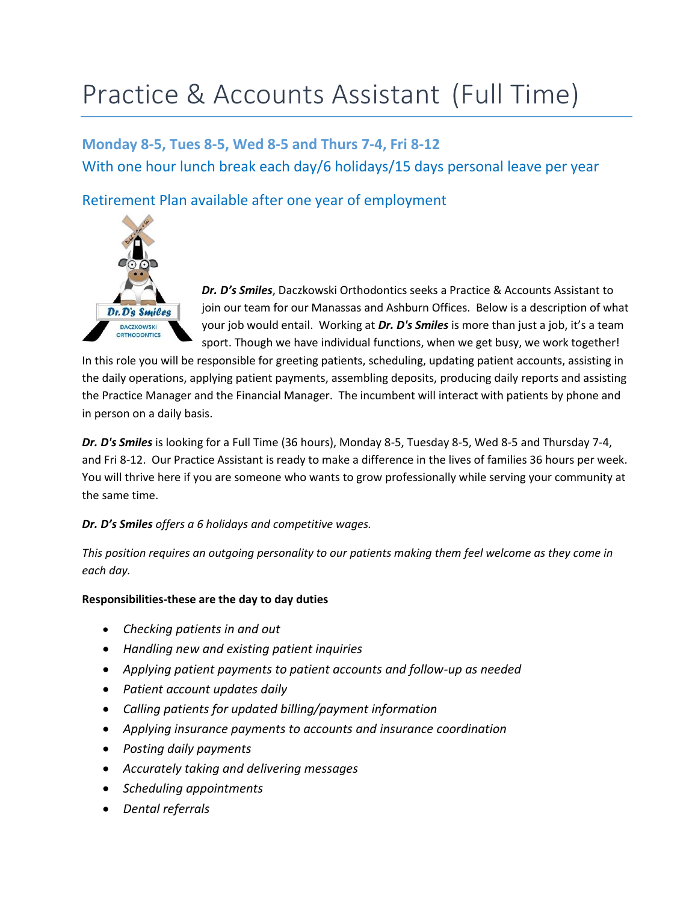## Practice & Accounts Assistant (Full Time)

**Monday 8-5, Tues 8-5, Wed 8-5 and Thurs 7-4, Fri 8-12** With one hour lunch break each day/6 holidays/15 days personal leave per year

Retirement Plan available after one year of employment



*Dr. D's Smiles*, Daczkowski Orthodontics seeks a Practice & Accounts Assistant to join our team for our Manassas and Ashburn Offices. Below is a description of what your job would entail. Working at *Dr. D's Smiles* is more than just a job, it's a team sport. Though we have individual functions, when we get busy, we work together!

In this role you will be responsible for greeting patients, scheduling, updating patient accounts, assisting in the daily operations, applying patient payments, assembling deposits, producing daily reports and assisting the Practice Manager and the Financial Manager. The incumbent will interact with patients by phone and in person on a daily basis.

*Dr. D's Smiles* is looking for a Full Time (36 hours), Monday 8-5, Tuesday 8-5, Wed 8-5 and Thursday 7-4, and Fri 8-12. Our Practice Assistant is ready to make a difference in the lives of families 36 hours per week. You will thrive here if you are someone who wants to grow professionally while serving your community at the same time.

## *Dr. D's Smiles offers a 6 holidays and competitive wages.*

*This position requires an outgoing personality to our patients making them feel welcome as they come in each day.* 

## **Responsibilities-these are the day to day duties**

- *Checking patients in and out*
- *Handling new and existing patient inquiries*
- *Applying patient payments to patient accounts and follow-up as needed*
- *Patient account updates daily*
- *Calling patients for updated billing/payment information*
- *Applying insurance payments to accounts and insurance coordination*
- *Posting daily payments*
- *Accurately taking and delivering messages*
- *Scheduling appointments*
- *Dental referrals*